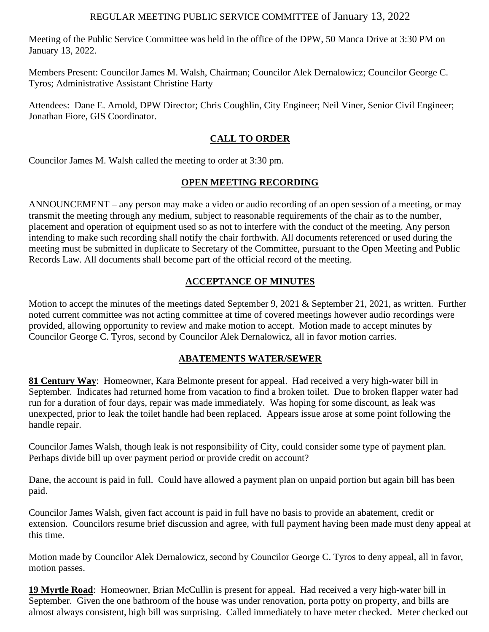# REGULAR MEETING PUBLIC SERVICE COMMITTEE of January 13, 2022

Meeting of the Public Service Committee was held in the office of the DPW, 50 Manca Drive at 3:30 PM on January 13, 2022.

Members Present: Councilor James M. Walsh, Chairman; Councilor Alek Dernalowicz; Councilor George C. Tyros; Administrative Assistant Christine Harty

Attendees: Dane E. Arnold, DPW Director; Chris Coughlin, City Engineer; Neil Viner, Senior Civil Engineer; Jonathan Fiore, GIS Coordinator.

# **CALL TO ORDER**

Councilor James M. Walsh called the meeting to order at 3:30 pm.

### **OPEN MEETING RECORDING**

ANNOUNCEMENT – any person may make a video or audio recording of an open session of a meeting, or may transmit the meeting through any medium, subject to reasonable requirements of the chair as to the number, placement and operation of equipment used so as not to interfere with the conduct of the meeting. Any person intending to make such recording shall notify the chair forthwith. All documents referenced or used during the meeting must be submitted in duplicate to Secretary of the Committee, pursuant to the Open Meeting and Public Records Law. All documents shall become part of the official record of the meeting.

### **ACCEPTANCE OF MINUTES**

Motion to accept the minutes of the meetings dated September 9, 2021 & September 21, 2021, as written. Further noted current committee was not acting committee at time of covered meetings however audio recordings were provided, allowing opportunity to review and make motion to accept. Motion made to accept minutes by Councilor George C. Tyros, second by Councilor Alek Dernalowicz, all in favor motion carries.

### **ABATEMENTS WATER/SEWER**

**81 Century Way**: Homeowner, Kara Belmonte present for appeal. Had received a very high-water bill in September. Indicates had returned home from vacation to find a broken toilet. Due to broken flapper water had run for a duration of four days, repair was made immediately. Was hoping for some discount, as leak was unexpected, prior to leak the toilet handle had been replaced. Appears issue arose at some point following the handle repair.

Councilor James Walsh, though leak is not responsibility of City, could consider some type of payment plan. Perhaps divide bill up over payment period or provide credit on account?

Dane, the account is paid in full. Could have allowed a payment plan on unpaid portion but again bill has been paid.

Councilor James Walsh, given fact account is paid in full have no basis to provide an abatement, credit or extension. Councilors resume brief discussion and agree, with full payment having been made must deny appeal at this time.

Motion made by Councilor Alek Dernalowicz, second by Councilor George C. Tyros to deny appeal, all in favor, motion passes.

**19 Myrtle Road**: Homeowner, Brian McCullin is present for appeal. Had received a very high-water bill in September. Given the one bathroom of the house was under renovation, porta potty on property, and bills are almost always consistent, high bill was surprising. Called immediately to have meter checked. Meter checked out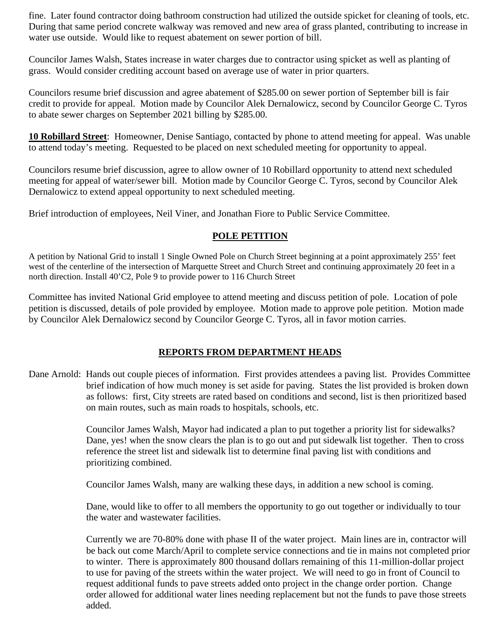fine. Later found contractor doing bathroom construction had utilized the outside spicket for cleaning of tools, etc. During that same period concrete walkway was removed and new area of grass planted, contributing to increase in water use outside. Would like to request abatement on sewer portion of bill.

Councilor James Walsh, States increase in water charges due to contractor using spicket as well as planting of grass. Would consider crediting account based on average use of water in prior quarters.

Councilors resume brief discussion and agree abatement of \$285.00 on sewer portion of September bill is fair credit to provide for appeal. Motion made by Councilor Alek Dernalowicz, second by Councilor George C. Tyros to abate sewer charges on September 2021 billing by \$285.00.

**10 Robillard Street**: Homeowner, Denise Santiago, contacted by phone to attend meeting for appeal. Was unable to attend today's meeting. Requested to be placed on next scheduled meeting for opportunity to appeal.

Councilors resume brief discussion, agree to allow owner of 10 Robillard opportunity to attend next scheduled meeting for appeal of water/sewer bill. Motion made by Councilor George C. Tyros, second by Councilor Alek Dernalowicz to extend appeal opportunity to next scheduled meeting.

Brief introduction of employees, Neil Viner, and Jonathan Fiore to Public Service Committee.

### **POLE PETITION**

A petition by National Grid to install 1 Single Owned Pole on Church Street beginning at a point approximately 255' feet west of the centerline of the intersection of Marquette Street and Church Street and continuing approximately 20 feet in a north direction. Install 40'C2, Pole 9 to provide power to 116 Church Street

Committee has invited National Grid employee to attend meeting and discuss petition of pole. Location of pole petition is discussed, details of pole provided by employee. Motion made to approve pole petition. Motion made by Councilor Alek Dernalowicz second by Councilor George C. Tyros, all in favor motion carries.

### **REPORTS FROM DEPARTMENT HEADS**

Dane Arnold: Hands out couple pieces of information. First provides attendees a paving list. Provides Committee brief indication of how much money is set aside for paving. States the list provided is broken down as follows: first, City streets are rated based on conditions and second, list is then prioritized based on main routes, such as main roads to hospitals, schools, etc.

> Councilor James Walsh, Mayor had indicated a plan to put together a priority list for sidewalks? Dane, yes! when the snow clears the plan is to go out and put sidewalk list together. Then to cross reference the street list and sidewalk list to determine final paving list with conditions and prioritizing combined.

Councilor James Walsh, many are walking these days, in addition a new school is coming.

Dane, would like to offer to all members the opportunity to go out together or individually to tour the water and wastewater facilities.

Currently we are 70-80% done with phase II of the water project. Main lines are in, contractor will be back out come March/April to complete service connections and tie in mains not completed prior to winter. There is approximately 800 thousand dollars remaining of this 11-million-dollar project to use for paving of the streets within the water project. We will need to go in front of Council to request additional funds to pave streets added onto project in the change order portion. Change order allowed for additional water lines needing replacement but not the funds to pave those streets added.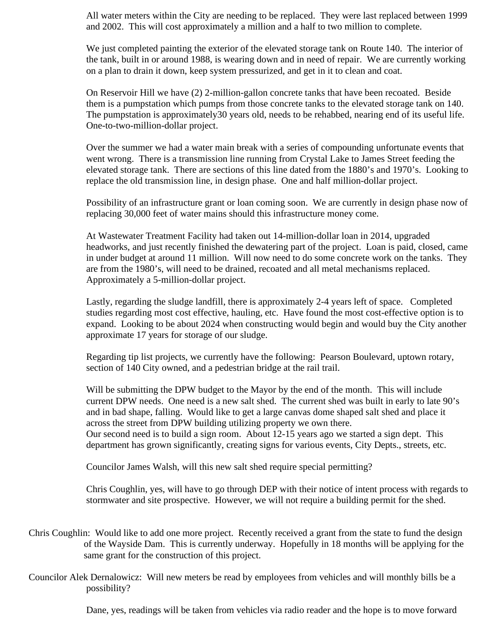All water meters within the City are needing to be replaced. They were last replaced between 1999 and 2002. This will cost approximately a million and a half to two million to complete.

We just completed painting the exterior of the elevated storage tank on Route 140. The interior of the tank, built in or around 1988, is wearing down and in need of repair. We are currently working on a plan to drain it down, keep system pressurized, and get in it to clean and coat.

On Reservoir Hill we have (2) 2-million-gallon concrete tanks that have been recoated. Beside them is a pumpstation which pumps from those concrete tanks to the elevated storage tank on 140. The pumpstation is approximately30 years old, needs to be rehabbed, nearing end of its useful life. One-to-two-million-dollar project.

Over the summer we had a water main break with a series of compounding unfortunate events that went wrong. There is a transmission line running from Crystal Lake to James Street feeding the elevated storage tank. There are sections of this line dated from the 1880's and 1970's. Looking to replace the old transmission line, in design phase. One and half million-dollar project.

Possibility of an infrastructure grant or loan coming soon. We are currently in design phase now of replacing 30,000 feet of water mains should this infrastructure money come.

At Wastewater Treatment Facility had taken out 14-million-dollar loan in 2014, upgraded headworks, and just recently finished the dewatering part of the project. Loan is paid, closed, came in under budget at around 11 million. Will now need to do some concrete work on the tanks. They are from the 1980's, will need to be drained, recoated and all metal mechanisms replaced. Approximately a 5-million-dollar project.

Lastly, regarding the sludge landfill, there is approximately 2-4 years left of space. Completed studies regarding most cost effective, hauling, etc. Have found the most cost-effective option is to expand. Looking to be about 2024 when constructing would begin and would buy the City another approximate 17 years for storage of our sludge.

Regarding tip list projects, we currently have the following: Pearson Boulevard, uptown rotary, section of 140 City owned, and a pedestrian bridge at the rail trail.

Will be submitting the DPW budget to the Mayor by the end of the month. This will include current DPW needs. One need is a new salt shed. The current shed was built in early to late 90's and in bad shape, falling. Would like to get a large canvas dome shaped salt shed and place it across the street from DPW building utilizing property we own there.

Our second need is to build a sign room. About 12-15 years ago we started a sign dept. This department has grown significantly, creating signs for various events, City Depts., streets, etc.

Councilor James Walsh, will this new salt shed require special permitting?

Chris Coughlin, yes, will have to go through DEP with their notice of intent process with regards to stormwater and site prospective. However, we will not require a building permit for the shed.

- Chris Coughlin: Would like to add one more project. Recently received a grant from the state to fund the design of the Wayside Dam. This is currently underway. Hopefully in 18 months will be applying for the same grant for the construction of this project.
- Councilor Alek Dernalowicz: Will new meters be read by employees from vehicles and will monthly bills be a possibility?

Dane, yes, readings will be taken from vehicles via radio reader and the hope is to move forward